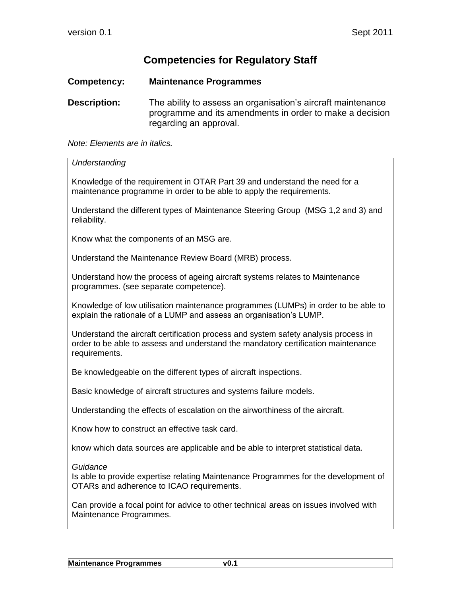## **Competencies for Regulatory Staff**

## **Competency: Maintenance Programmes**

**Description:** The ability to assess an organisation's aircraft maintenance programme and its amendments in order to make a decision regarding an approval.

*Note: Elements are in italics.*

| Understanding                                                                                                                                                                             |
|-------------------------------------------------------------------------------------------------------------------------------------------------------------------------------------------|
| Knowledge of the requirement in OTAR Part 39 and understand the need for a<br>maintenance programme in order to be able to apply the requirements.                                        |
| Understand the different types of Maintenance Steering Group (MSG 1,2 and 3) and<br>reliability.                                                                                          |
| Know what the components of an MSG are.                                                                                                                                                   |
| Understand the Maintenance Review Board (MRB) process.                                                                                                                                    |
| Understand how the process of ageing aircraft systems relates to Maintenance<br>programmes. (see separate competence).                                                                    |
| Knowledge of low utilisation maintenance programmes (LUMPs) in order to be able to<br>explain the rationale of a LUMP and assess an organisation's LUMP.                                  |
| Understand the aircraft certification process and system safety analysis process in<br>order to be able to assess and understand the mandatory certification maintenance<br>requirements. |
| Be knowledgeable on the different types of aircraft inspections.                                                                                                                          |
| Basic knowledge of aircraft structures and systems failure models.                                                                                                                        |
| Understanding the effects of escalation on the airworthiness of the aircraft.                                                                                                             |
| Know how to construct an effective task card.                                                                                                                                             |
| know which data sources are applicable and be able to interpret statistical data.                                                                                                         |
| Guidance<br>Is able to provide expertise relating Maintenance Programmes for the development of<br>OTARs and adherence to ICAO requirements.                                              |
| Can provide a focal point for advice to other technical areas on issues involved with<br>Maintenance Programmes.                                                                          |